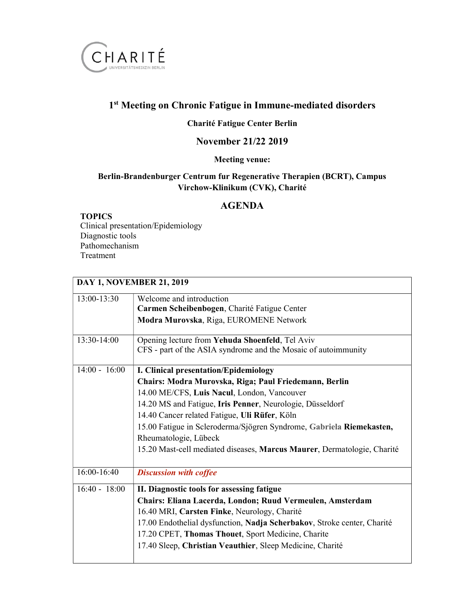

# 1<sup>st</sup> Meeting on Chronic Fatigue in Immune-mediated disorders

# Charité Fatigue Center Berlin

### November 21/22 2019

### Meeting venue:

### Berlin-Brandenburger Centrum fur Regenerative Therapien (BCRT), Campus Virchow-Klinikum (CVK), Charité

### AGENDA

#### TOPICS

Clinical presentation/Epidemiology Diagnostic tools Pathomechanism Treatment

| <b>DAY 1, NOVEMBER 21, 2019</b> |                                                                         |  |
|---------------------------------|-------------------------------------------------------------------------|--|
| 13:00-13:30                     | Welcome and introduction                                                |  |
|                                 | Carmen Scheibenbogen, Charité Fatigue Center                            |  |
|                                 | Modra Murovska, Riga, EUROMENE Network                                  |  |
| 13:30-14:00                     | Opening lecture from Yehuda Shoenfeld, Tel Aviv                         |  |
|                                 | CFS - part of the ASIA syndrome and the Mosaic of autoimmunity          |  |
| $14:00 - 16:00$                 | <b>I. Clinical presentation/Epidemiology</b>                            |  |
|                                 | Chairs: Modra Murovska, Riga; Paul Friedemann, Berlin                   |  |
|                                 | 14.00 ME/CFS, Luis Nacul, London, Vancouver                             |  |
|                                 | 14.20 MS and Fatigue, Iris Penner, Neurologie, Düsseldorf               |  |
|                                 | 14.40 Cancer related Fatigue, Uli Rüfer, Köln                           |  |
|                                 | 15.00 Fatigue in Scleroderma/Sjögren Syndrome, Gabriela Riemekasten,    |  |
|                                 | Rheumatologie, Lübeck                                                   |  |
|                                 | 15.20 Mast-cell mediated diseases, Marcus Maurer, Dermatologie, Charité |  |
| 16:00-16:40                     | <b>Discussion with coffee</b>                                           |  |
| $16:40 - 18:00$                 | II. Diagnostic tools for assessing fatigue                              |  |
|                                 | Chairs: Eliana Lacerda, London; Ruud Vermeulen, Amsterdam               |  |
|                                 | 16.40 MRI, Carsten Finke, Neurology, Charité                            |  |
|                                 | 17.00 Endothelial dysfunction, Nadja Scherbakov, Stroke center, Charité |  |
|                                 | 17.20 CPET, Thomas Thouet, Sport Medicine, Charite                      |  |
|                                 | 17.40 Sleep, Christian Veauthier, Sleep Medicine, Charité               |  |
|                                 |                                                                         |  |